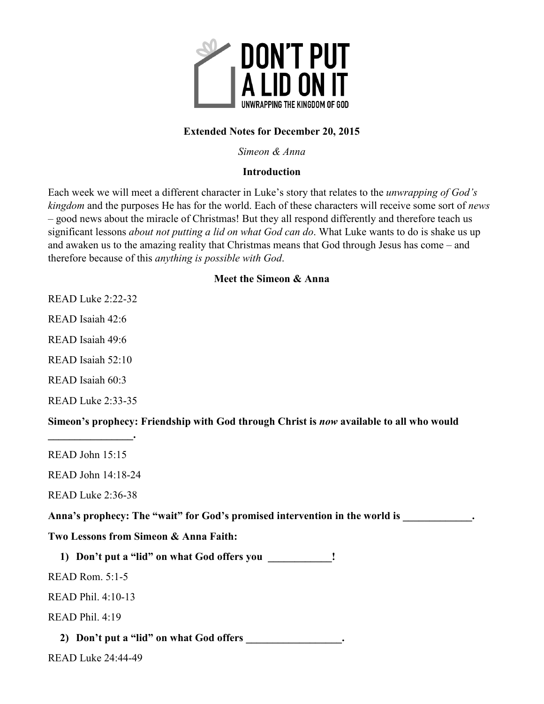

# **Extended Notes for December 20, 2015**

*Simeon & Anna* 

## **Introduction**

Each week we will meet a different character in Luke's story that relates to the *unwrapping of God's kingdom* and the purposes He has for the world. Each of these characters will receive some sort of *news*  – good news about the miracle of Christmas! But they all respond differently and therefore teach us significant lessons *about not putting a lid on what God can do*. What Luke wants to do is shake us up and awaken us to the amazing reality that Christmas means that God through Jesus has come – and therefore because of this *anything is possible with God*.

## **Meet the Simeon & Anna**

READ Luke 2:22-32

READ Isaiah 42:6

READ Isaiah 49:6

READ Isaiah 52:10

READ Isaiah 60:3

READ Luke 2:33-35

**\_\_\_\_\_\_\_\_\_\_\_\_\_\_\_\_.** 

**Simeon's prophecy: Friendship with God through Christ is** *now* **available to all who would** 

READ John 15:15

READ John 14:18-24

READ Luke 2:36-38

Anna's prophecy: The "wait" for God's promised intervention in the world is  $\cdot$ 

**Two Lessons from Simeon & Anna Faith:** 

**1) Don't put a "lid" on what God offers you \_\_\_\_\_\_\_\_\_\_\_\_!** 

READ Rom. 5:1-5

READ Phil. 4:10-13

READ Phil. 4:19

**2) Don't put a "lid" on what God offers \_\_\_\_\_\_\_\_\_\_\_\_\_\_\_\_\_\_.** 

READ Luke 24:44-49